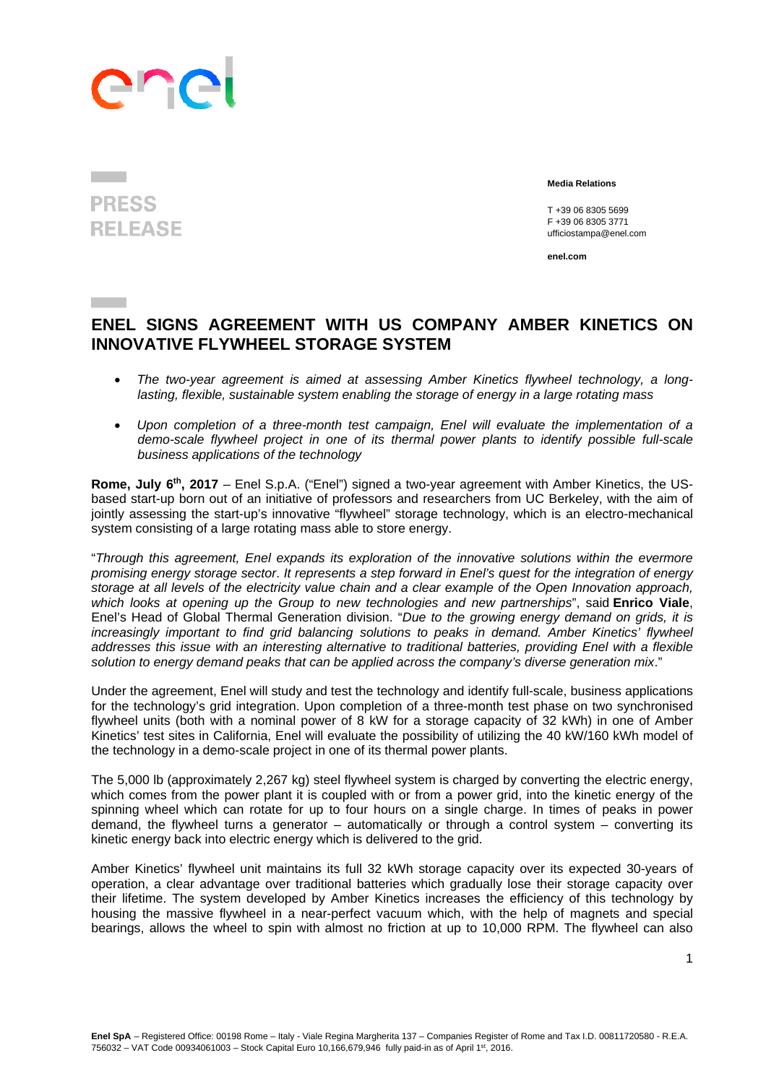## ene

## **PRESS RELEASE**

 **Media Relations** 

 T +39 06 8305 5699 F +39 06 8305 3771 ufficiostampa@enel.com

**enel.com**

## **ENEL SIGNS AGREEMENT WITH US COMPANY AMBER KINETICS ON INNOVATIVE FLYWHEEL STORAGE SYSTEM**

- *The two-year agreement is aimed at assessing Amber Kinetics flywheel technology, a longlasting, flexible, sustainable system enabling the storage of energy in a large rotating mass*
- *Upon completion of a three-month test campaign, Enel will evaluate the implementation of a demo-scale flywheel project in one of its thermal power plants to identify possible full-scale business applications of the technology*

**Rome, July 6th, 2017** – Enel S.p.A. ("Enel") signed a two-year agreement with Amber Kinetics, the USbased start-up born out of an initiative of professors and researchers from UC Berkeley, with the aim of jointly assessing the start-up's innovative "flywheel" storage technology, which is an electro-mechanical system consisting of a large rotating mass able to store energy.

"*Through this agreement, Enel expands its exploration of the innovative solutions within the evermore promising energy storage sector*. *It represents a step forward in Enel's quest for the integration of energy storage at all levels of the electricity value chain and a clear example of the Open Innovation approach, which looks at opening up the Group to new technologies and new partnerships*", said **Enrico Viale**, Enel's Head of Global Thermal Generation division. "*Due to the growing energy demand on grids, it is increasingly important to find grid balancing solutions to peaks in demand. Amber Kinetics' flywheel addresses this issue with an interesting alternative to traditional batteries, providing Enel with a flexible solution to energy demand peaks that can be applied across the company's diverse generation mix*."

Under the agreement, Enel will study and test the technology and identify full-scale, business applications for the technology's grid integration. Upon completion of a three-month test phase on two synchronised flywheel units (both with a nominal power of 8 kW for a storage capacity of 32 kWh) in one of Amber Kinetics' test sites in California, Enel will evaluate the possibility of utilizing the 40 kW/160 kWh model of the technology in a demo-scale project in one of its thermal power plants.

The 5,000 lb (approximately 2,267 kg) steel flywheel system is charged by converting the electric energy, which comes from the power plant it is coupled with or from a power grid, into the kinetic energy of the spinning wheel which can rotate for up to four hours on a single charge. In times of peaks in power demand, the flywheel turns a generator – automatically or through a control system – converting its kinetic energy back into electric energy which is delivered to the grid.

Amber Kinetics' flywheel unit maintains its full 32 kWh storage capacity over its expected 30-years of operation, a clear advantage over traditional batteries which gradually lose their storage capacity over their lifetime. The system developed by Amber Kinetics increases the efficiency of this technology by housing the massive flywheel in a near-perfect vacuum which, with the help of magnets and special bearings, allows the wheel to spin with almost no friction at up to 10,000 RPM. The flywheel can also